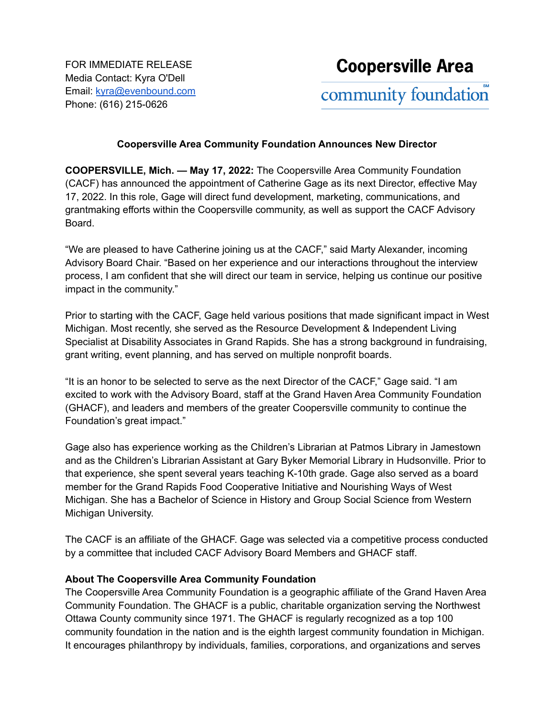FOR IMMEDIATE RELEASE Media Contact: Kyra O'Dell Email: [kyra@evenbound.com](mailto:kyra@evenbound.com) Phone: (616) 215-0626

## **Coopersville Area Community Foundation Announces New Director**

**COOPERSVILLE, Mich. — May 17, 2022:** The Coopersville Area Community Foundation (CACF) has announced the appointment of Catherine Gage as its next Director, effective May 17, 2022. In this role, Gage will direct fund development, marketing, communications, and grantmaking efforts within the Coopersville community, as well as support the CACF Advisory Board.

"We are pleased to have Catherine joining us at the CACF," said Marty Alexander, incoming Advisory Board Chair. "Based on her experience and our interactions throughout the interview process, I am confident that she will direct our team in service, helping us continue our positive impact in the community."

Prior to starting with the CACF, Gage held various positions that made significant impact in West Michigan. Most recently, she served as the Resource Development & Independent Living Specialist at Disability Associates in Grand Rapids. She has a strong background in fundraising, grant writing, event planning, and has served on multiple nonprofit boards.

"It is an honor to be selected to serve as the next Director of the CACF," Gage said. "I am excited to work with the Advisory Board, staff at the Grand Haven Area Community Foundation (GHACF), and leaders and members of the greater Coopersville community to continue the Foundation's great impact."

Gage also has experience working as the Children's Librarian at Patmos Library in Jamestown and as the Children's Librarian Assistant at Gary Byker Memorial Library in Hudsonville. Prior to that experience, she spent several years teaching K-10th grade. Gage also served as a board member for the Grand Rapids Food Cooperative Initiative and Nourishing Ways of West Michigan. She has a Bachelor of Science in History and Group Social Science from Western Michigan University.

The CACF is an affiliate of the GHACF. Gage was selected via a competitive process conducted by a committee that included CACF Advisory Board Members and GHACF staff.

## **About The Coopersville Area Community Foundation**

The Coopersville Area Community Foundation is a geographic affiliate of the Grand Haven Area Community Foundation. The GHACF is a public, charitable organization serving the Northwest Ottawa County community since 1971. The GHACF is regularly recognized as a top 100 community foundation in the nation and is the eighth largest community foundation in Michigan. It encourages philanthropy by individuals, families, corporations, and organizations and serves